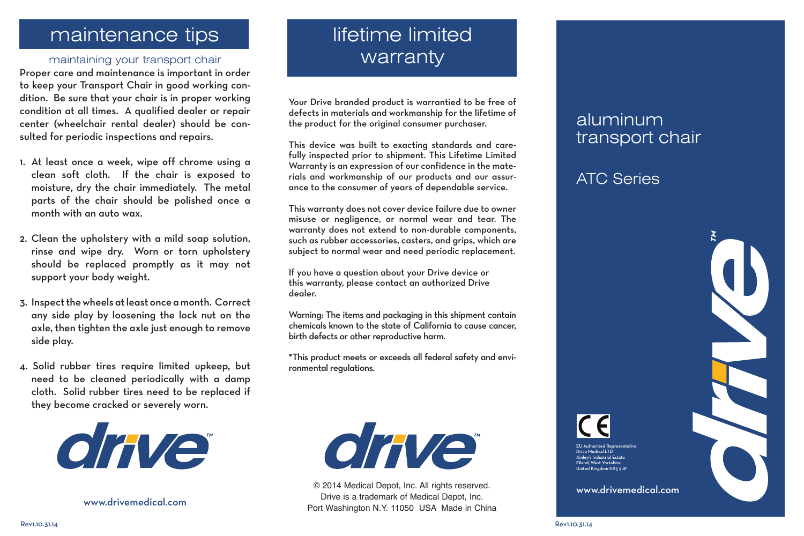## maintenance tips

### maintaining your transport chair

Proper care and maintenance is important in order to keep your Transport Chair in good working condition. Be sure that your chair is in proper working condition at all times. A qualified dealer or repair center (wheelchair rental dealer) should be consulted for periodic inspections and repairs.

- 1. At least once a week, wipe off chrome using a clean soft cloth. If the chair is exposed to moisture, dry the chair immediately. The metal parts of the chair should be polished once a month with an auto wax.
- 2. Clean the upholstery with a mild soap solution, rinse and wipe dry. Worn or torn upholstery should be replaced promptly as it may not support your body weight.
- 3. Inspect the wheels at least once a month. Correct any side play by loosening the lock nut on the axle, then tighten the axle just enough to remove side play.
- 4. Solid rubber tires require limited upkeep, but need to be cleaned periodically with a damp cloth. Solid rubber tires need to be replaced if they become cracked or severely worn.



www.drivemedical.com

# lifetime limited warranty

Your Drive branded product is warrantied to be free of defects in materials and workmanship for the lifetime of the product for the original consumer purchaser.

This device was built to exacting standards and carefully inspected prior to shipment. This Lifetime Limited Warranty is an expression of our confidence in the materials and workmanship of our products and our assurance to the consumer of years of dependable service.

This warranty does not cover device failure due to owner misuse or negligence, or normal wear and tear. The warranty does not extend to non-durable components, such as rubber accessories, casters, and grips, which are subject to normal wear and need periodic replacement.

If you have a question about your Drive device or this warranty, please contact an authorized Drive dealer.

Warning: The items and packaging in this shipment contain chemicals known to the state of California to cause cancer, birth defects or other reproductive harm.

\*This product meets or exceeds all federal safety and environmental regulations.



© 2014 Medical Depot, Inc. All rights reserved. Drive is a trademark of Medical Depot, Inc. Port Washington N.Y. 11050 USA Made in China

## aluminum transport chair

### ATC Series



EU Authorized Representative Drive Medical LTD Ainley's Industrial Estate Elland, West Yorkshire, United Kingdom HX5 9JP